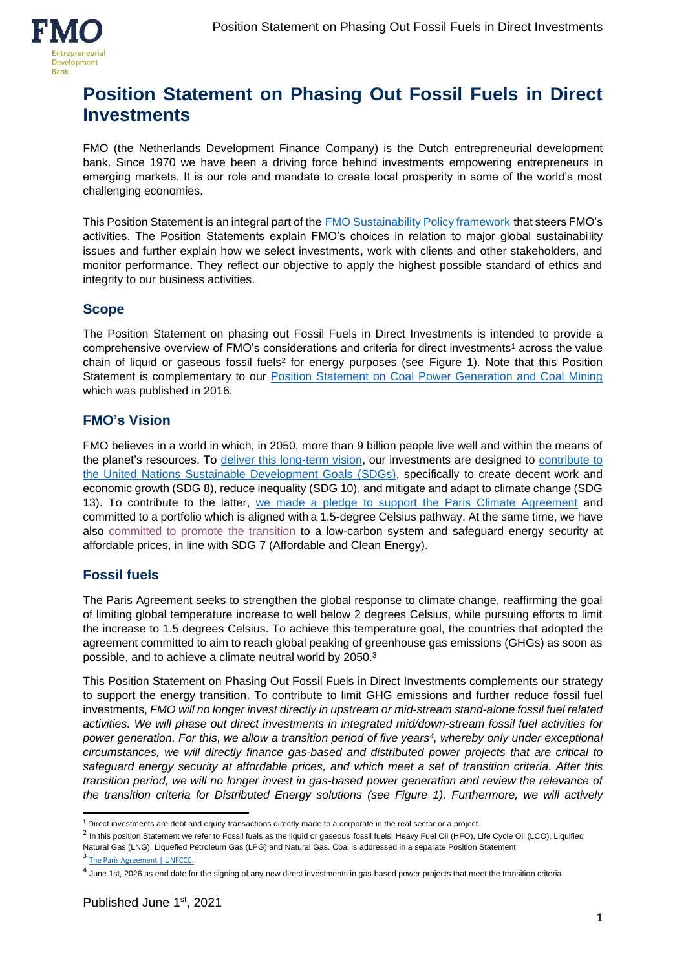

# **Position Statement on Phasing Out Fossil Fuels in Direct Investments**

FMO (the Netherlands Development Finance Company) is the Dutch entrepreneurial development bank. Since 1970 we have been a driving force behind investments empowering entrepreneurs in emerging markets. It is our role and mandate to create local prosperity in some of the world's most challenging economies.

This Position Statement is an integral part of the [FMO Sustainability Policy framework](https://www.fmo.nl/l/library/download/urn:uuid:9978eafe-864f-4b3a-bed1-5e0563df0c85/fmo+sustainability+policy.pdf?format=save_to_disk&ext=.pdf) that steers FMO's activities. The Position Statements explain FMO's choices in relation to major global sustainability issues and further explain how we select investments, work with clients and other stakeholders, and monitor performance. They reflect our objective to apply the highest possible standard of ethics and integrity to our business activities.

#### **Scope**

The Position Statement on phasing out Fossil Fuels in Direct Investments is intended to provide a comprehensive overview of FMO's considerations and criteria for direct investments<sup>1</sup> across the value chain of liquid or gaseous fossil fuels<sup>2</sup> for energy purposes (see Figure 1). Note that this Position Statement is complementary to our [Position Statement on Coal Power Generation and Coal Mining](https://www.fmo.nl/l/library/download/urn:uuid:bc67f804-1588-4542-8ac8-5f168b5f417f/position+statement+on+coal.pdf?format=save_to_disk&ext=.pdf) which was published in 2016.

#### **FMO's Vision**

FMO believes in a world in which, in 2050, more than 9 billion people live well and within the means of the planet's resources. To [deliver this long-term vision,](https://www.fmo.nl/impact) our investments are designed to [contribute to](https://www.fmo.nl/impact/how-we-measure-impact)  the United Nations [Sustainable Development Goals](https://www.fmo.nl/impact/how-we-measure-impact) (SDGs), specifically to create decent work and economic growth (SDG 8), reduce inequality (SDG 10), and mitigate and adapt to climate change (SDG 13). To contribute to the latter, [we made a pledge to support the Paris Climate Agreement](https://www.fmo.nl/news-detail/07cf388e-3174-4100-aafb-d11d04b9262f/fmo-is-committed-to-limit-temperature-rise) and committed to a portfolio which is aligned with a 1.5-degree Celsius pathway. At the same time, we have also [committed to promote the transition](https://www.fmo.nl/partner-with-us/energy) to a low-carbon system and safeguard energy security at affordable prices, in line with SDG 7 (Affordable and Clean Energy).

# **Fossil fuels**

The Paris Agreement seeks to strengthen the global response to climate change, reaffirming the goal of limiting global temperature increase to well below 2 degrees Celsius, while pursuing efforts to limit the increase to 1.5 degrees Celsius. To achieve this temperature goal, the countries that adopted the agreement committed to aim to reach global peaking of greenhouse gas emissions (GHGs) as soon as possible, and to achieve a climate neutral world by 2050. 3

This Position Statement on Phasing Out Fossil Fuels in Direct Investments complements our strategy to support the energy transition. To contribute to limit GHG emissions and further reduce fossil fuel investments, *FMO will no longer invest directly in upstream or mid-stream stand-alone fossil fuel related activities. We will phase out direct investments in integrated mid/down-stream fossil fuel activities for power generation. For this, we allow a transition period of five years<sup>4</sup> , whereby only under exceptional circumstances, we will directly finance gas-based and distributed power projects that are critical to safeguard energy security at affordable prices, and which meet a set of transition criteria. After this transition period, we will no longer invest in gas-based power generation and review the relevance of the transition criteria for Distributed Energy solutions (see Figure 1). Furthermore, we will actively* 

<sup>1</sup> Direct investments are debt and equity transactions directly made to a corporate in the real sector or a project.

<sup>&</sup>lt;sup>2</sup> In this position Statement we refer to Fossil fuels as the liquid or gaseous fossil fuels: Heavy Fuel Oil (HFO), Life Cycle Oil (LCO), Liquified Natural Gas (LNG), Liquefied Petroleum Gas (LPG) and Natural Gas. Coal is addressed in a separate Position Statement.

<sup>3</sup> [The Paris Agreement | UNFCCC.](https://unfccc.int/process-and-meetings/the-paris-agreement/the-paris-agreement)

<sup>&</sup>lt;sup>4</sup> June 1st, 2026 as end date for the signing of any new direct investments in gas-based power projects that meet the transition criteria.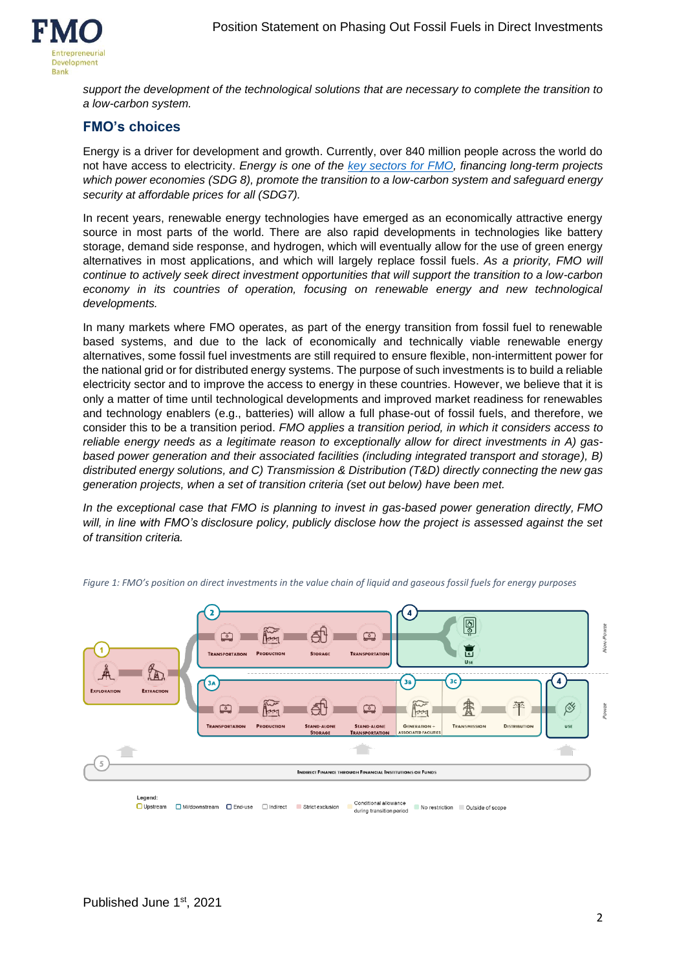

*support the development of the technological solutions that are necessary to complete the transition to a low-carbon system.* 

### **FMO's choices**

Energy is a driver for development and growth. Currently, over 840 million people across the world do not have access to electricity. *Energy is one of the [key sectors for FMO,](https://www.fmo.nl/partner-with-us/energy) financing long-term projects which power economies (SDG 8), promote the transition to a low-carbon system and safeguard energy security at affordable prices for all (SDG7).*

In recent years, renewable energy technologies have emerged as an economically attractive energy source in most parts of the world. There are also rapid developments in technologies like battery storage, demand side response, and hydrogen, which will eventually allow for the use of green energy alternatives in most applications, and which will largely replace fossil fuels. *As a priority, FMO will continue to actively seek direct investment opportunities that will support the transition to a low-carbon economy in its countries of operation, focusing on renewable energy and new technological developments.* 

In many markets where FMO operates, as part of the energy transition from fossil fuel to renewable based systems, and due to the lack of economically and technically viable renewable energy alternatives, some fossil fuel investments are still required to ensure flexible, non-intermittent power for the national grid or for distributed energy systems. The purpose of such investments is to build a reliable electricity sector and to improve the access to energy in these countries. However, we believe that it is only a matter of time until technological developments and improved market readiness for renewables and technology enablers (e.g., batteries) will allow a full phase-out of fossil fuels, and therefore, we consider this to be a transition period. *FMO applies a transition period, in which it considers access to reliable energy needs as a legitimate reason to exceptionally allow for direct investments in A) gasbased power generation and their associated facilities (including integrated transport and storage), B) distributed energy solutions, and C) Transmission & Distribution (T&D) directly connecting the new gas generation projects, when a set of transition criteria (set out below) have been met.*

*In the exceptional case that FMO is planning to invest in gas-based power generation directly, FMO will, in line with FMO's disclosure policy, publicly disclose how the project is assessed against the set of transition criteria.*



*Figure 1: FMO's position on direct investments in the value chain of liquid and gaseous fossil fuels for energy purposes*

□ Upstream ■ Mi/downstream ■ End-use ■ Indirect Strict exclusion No restriction Cutside of scope during transition period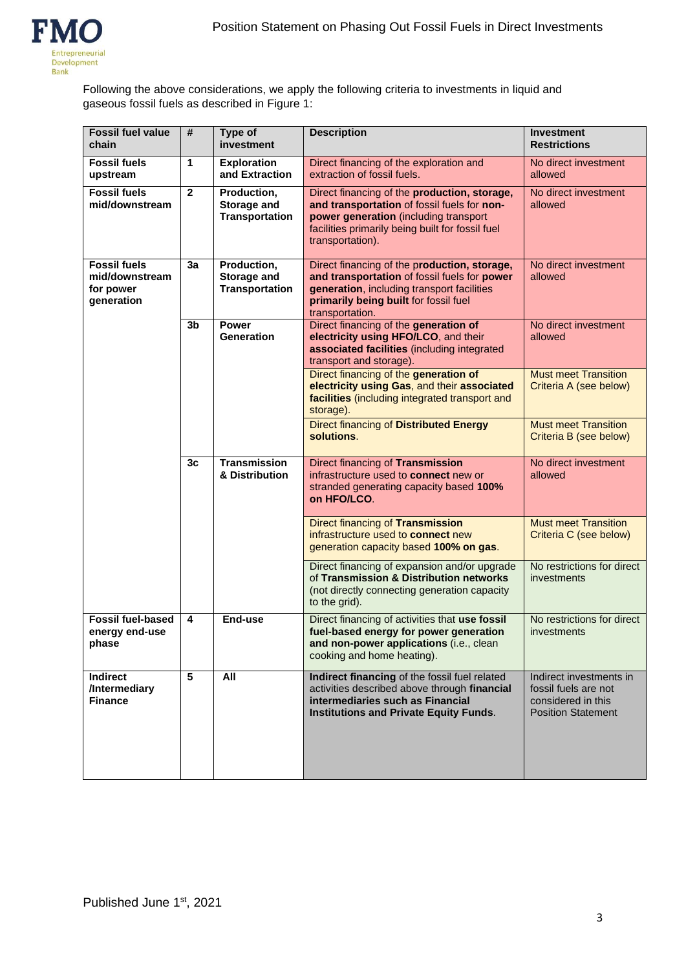Following the above considerations, we apply the following criteria to investments in liquid and gaseous fossil fuels as described in Figure 1:

| <b>Fossil fuel value</b><br>chain                                | #              | Type of<br>investment                               | <b>Description</b>                                                                                                                                                                                           | <b>Investment</b><br><b>Restrictions</b>                                                           |
|------------------------------------------------------------------|----------------|-----------------------------------------------------|--------------------------------------------------------------------------------------------------------------------------------------------------------------------------------------------------------------|----------------------------------------------------------------------------------------------------|
| <b>Fossil fuels</b><br>upstream                                  | $\mathbf{1}$   | <b>Exploration</b><br>and Extraction                | Direct financing of the exploration and<br>extraction of fossil fuels.                                                                                                                                       | No direct investment<br>allowed                                                                    |
| <b>Fossil fuels</b><br>mid/downstream                            | $\mathbf{2}$   | Production,<br>Storage and<br><b>Transportation</b> | Direct financing of the production, storage,<br>and transportation of fossil fuels for non-<br>power generation (including transport<br>facilities primarily being built for fossil fuel<br>transportation). | No direct investment<br>allowed                                                                    |
| <b>Fossil fuels</b><br>mid/downstream<br>for power<br>generation | 3a             | Production,<br>Storage and<br><b>Transportation</b> | Direct financing of the production, storage,<br>and transportation of fossil fuels for power<br>generation, including transport facilities<br>primarily being built for fossil fuel<br>transportation.       | No direct investment<br>allowed                                                                    |
|                                                                  | 3 <sub>b</sub> | Power<br><b>Generation</b>                          | Direct financing of the generation of<br>electricity using HFO/LCO, and their<br>associated facilities (including integrated<br>transport and storage).                                                      | No direct investment<br>allowed                                                                    |
|                                                                  |                |                                                     | Direct financing of the generation of<br>electricity using Gas, and their associated<br>facilities (including integrated transport and<br>storage).                                                          | <b>Must meet Transition</b><br>Criteria A (see below)                                              |
|                                                                  |                |                                                     | <b>Direct financing of Distributed Energy</b><br>solutions.                                                                                                                                                  | <b>Must meet Transition</b><br>Criteria B (see below)                                              |
|                                                                  | 3 <sub>c</sub> | <b>Transmission</b><br>& Distribution               | Direct financing of Transmission<br>infrastructure used to connect new or<br>stranded generating capacity based 100%<br>on HFO/LCO.                                                                          | No direct investment<br>allowed                                                                    |
|                                                                  |                |                                                     | Direct financing of Transmission<br>infrastructure used to connect new<br>generation capacity based 100% on gas.                                                                                             | <b>Must meet Transition</b><br>Criteria C (see below)                                              |
|                                                                  |                |                                                     | Direct financing of expansion and/or upgrade<br>of Transmission & Distribution networks<br>(not directly connecting generation capacity<br>to the grid).                                                     | No restrictions for direct<br>investments                                                          |
| <b>Fossil fuel-based</b><br>energy end-use<br>phase              | 4              | End-use                                             | Direct financing of activities that use fossil<br>fuel-based energy for power generation<br>and non-power applications (i.e., clean<br>cooking and home heating).                                            | No restrictions for direct<br>investments                                                          |
| <b>Indirect</b><br>/Intermediary<br><b>Finance</b>               | 5              | All                                                 | Indirect financing of the fossil fuel related<br>activities described above through financial<br>intermediaries such as Financial<br><b>Institutions and Private Equity Funds.</b>                           | Indirect investments in<br>fossil fuels are not<br>considered in this<br><b>Position Statement</b> |